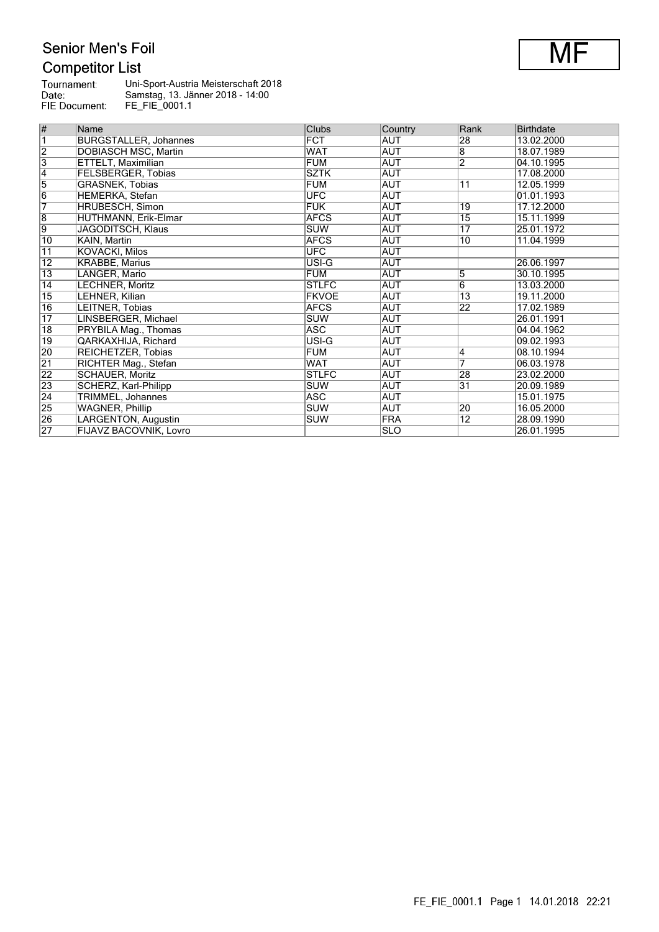## Senior Men's Foil **Competitor List**

| Tournament:   | Uni-Sport-Austria Meisterschaft 2018 |
|---------------|--------------------------------------|
| Date:         | Samstag, 13. Jänner 2018 - 14:00     |
| FIE Document: | FE FIE 0001.1                        |

| #                       | Name                         | Clubs        | Country    | Rank            | <b>Birthdate</b> |
|-------------------------|------------------------------|--------------|------------|-----------------|------------------|
| $\overline{\mathbb{1}}$ | <b>BURGSTALLER, Johannes</b> | <b>FCT</b>   | <b>AUT</b> | 28              | 13.02.2000       |
| $\overline{2}$          | <b>DOBIASCH MSC, Martin</b>  | <b>WAT</b>   | <b>AUT</b> | $\overline{8}$  | 18.07.1989       |
| $\overline{3}$          | ETTELT, Maximilian           | <b>FUM</b>   | <b>AUT</b> | $\overline{2}$  | 04.10.1995       |
| $\overline{4}$          | <b>FELSBERGER, Tobias</b>    | <b>SZTK</b>  | AUT        |                 | 17.08.2000       |
| $\overline{5}$          | <b>GRASNEK, Tobias</b>       | <b>FUM</b>   | <b>AUT</b> | 11              | 12.05.1999       |
| $\overline{6}$          | HEMERKA, Stefan              | <b>UFC</b>   | AUT        |                 | 01.01.1993       |
| $\overline{7}$          | HRUBESCH, Simon              | <b>FUK</b>   | AUT        | 19              | 17.12.2000       |
| $\overline{8}$          | HUTHMANN, Erik-Elmar         | <b>AFCS</b>  | <b>AUT</b> | $\overline{15}$ | 15.11.1999       |
| 9                       | JAGODITSCH, Klaus            | <b>SUW</b>   | AUT        | 17              | 25.01.1972       |
| $\overline{10}$         | KAIN, Martin                 | <b>AFCS</b>  | <b>AUT</b> | 10              | 11.04.1999       |
| $\overline{11}$         | <b>KOVACKI, Milos</b>        | <b>UFC</b>   | <b>AUT</b> |                 |                  |
| 12                      | <b>KRABBE, Marius</b>        | USI-G        | AUT        |                 | 26.06.1997       |
| $\overline{13}$         | LANGER, Mario                | <b>FUM</b>   | <b>AUT</b> | $\overline{5}$  | 30.10.1995       |
| $\overline{14}$         | LECHNER, Moritz              | <b>STLFC</b> | <b>AUT</b> | $\overline{6}$  | 13.03.2000       |
| $\overline{15}$         | LEHNER, Kilian               | <b>FKVOE</b> | AUT        | 13              | 19.11.2000       |
| $\overline{16}$         | LEITNER, Tobias              | <b>AFCS</b>  | <b>AUT</b> | $\overline{22}$ | 17.02.1989       |
| $\overline{17}$         | LINSBERGER, Michael          | <b>SUW</b>   | <b>AUT</b> |                 | 26.01.1991       |
| $\overline{18}$         | PRYBILA Mag., Thomas         | ASC          | AUT        |                 | 04.04.1962       |
| $\overline{19}$         | <b>QARKAXHIJA, Richard</b>   | USI-G        | <b>AUT</b> |                 | 09.02.1993       |
| 20                      | REICHETZER, Tobias           | <b>FUM</b>   | <b>AUT</b> | 4               | 08.10.1994       |
| $\overline{21}$         | RICHTER Mag., Stefan         | <b>WAT</b>   | AUT        | 7               | 06.03.1978       |
| $\overline{22}$         | <b>SCHAUER, Moritz</b>       | <b>STLFC</b> | <b>AUT</b> | 28              | 23.02.2000       |
| 23                      | SCHERZ, Karl-Philipp         | SUW          | <b>AUT</b> | 31              | 20.09.1989       |
| $\overline{24}$         | TRIMMEL, Johannes            | ASC          | AUT        |                 | 15.01.1975       |
| 25                      | <b>WAGNER, Phillip</b>       | <b>SUW</b>   | AUT        | 20              | 16.05.2000       |
| 26                      | LARGENTON, Augustin          | SUW          | <b>FRA</b> | $\overline{12}$ | 28.09.1990       |
| $\overline{27}$         | FIJAVZ BACOVNIK, Lovro       |              | <b>SLO</b> |                 | 26.01.1995       |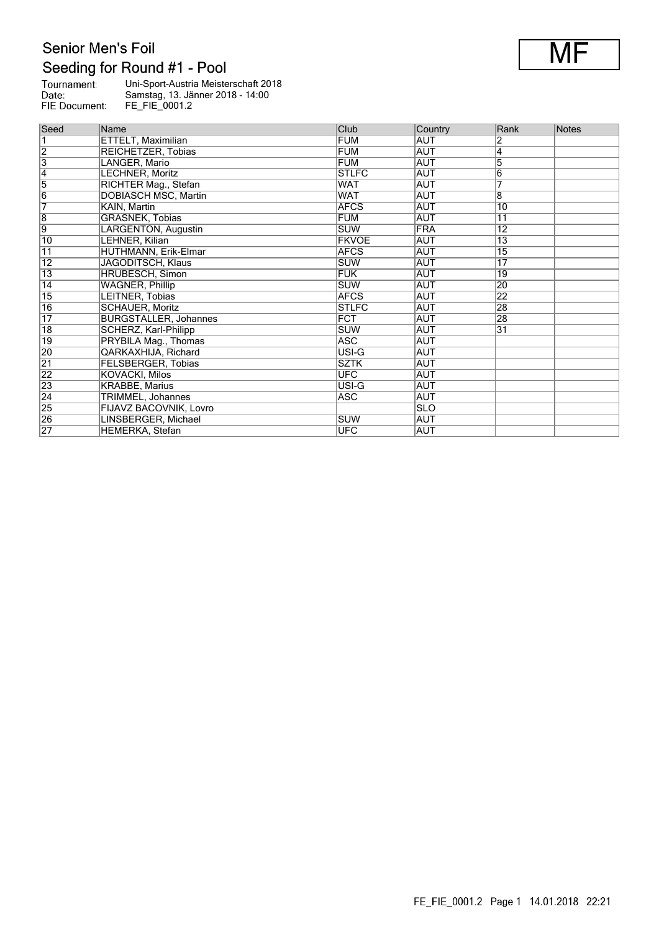## Senior Men's Foil Seeding for Round #1 - Pool

| Tournament:   | Uni-Sport-Austria Meisterschaft 2018 |
|---------------|--------------------------------------|
| Date:         | Samstag, 13. Jänner 2018 - 14:00     |
| FIE Document: | FE FIE 0001.2                        |

| Seed            | Name                         | Club         | Country    | Rank            | Notes |
|-----------------|------------------------------|--------------|------------|-----------------|-------|
|                 | ETTELT, Maximilian           | <b>FUM</b>   | <b>AUT</b> | 2               |       |
| $\overline{2}$  | REICHETZER, Tobias           | <b>FUM</b>   | AUT        | 4               |       |
| $\overline{3}$  | LANGER, Mario                | <b>FUM</b>   | <b>AUT</b> | 5               |       |
| $\vert 4$       | LECHNER, Moritz              | <b>STLFC</b> | <b>AUT</b> | 6               |       |
| 5               | RICHTER Mag., Stefan         | WAT          | AUT        | 7               |       |
| $\overline{6}$  | DOBIASCH MSC, Martin         | <b>WAT</b>   | <b>AUT</b> | 8               |       |
| 7               | KAIN, Martin                 | <b>AFCS</b>  | <b>AUT</b> | $\overline{10}$ |       |
| $\overline{8}$  | <b>GRASNEK, Tobias</b>       | <b>FUM</b>   | <b>AUT</b> | $\overline{11}$ |       |
| $\overline{9}$  | LARGENTON, Augustin          | <b>SUW</b>   | <b>FRA</b> | $\overline{12}$ |       |
| 10              | LEHNER, Kilian               | <b>FKVOE</b> | AUT        | $\overline{13}$ |       |
| $\overline{11}$ | HUTHMANN, Erik-Elmar         | <b>AFCS</b>  | <b>AUT</b> | 15              |       |
| 12              | JAGODITSCH, Klaus            | <b>SUW</b>   | AUT        | 17              |       |
| 13              | <b>HRUBESCH, Simon</b>       | <b>FUK</b>   | AUT        | 19              |       |
| $\overline{14}$ | <b>WAGNER, Phillip</b>       | <b>SUW</b>   | AUT        | 20              |       |
| $\overline{15}$ | LEITNER, Tobias              | <b>AFCS</b>  | AUT        | 22              |       |
| $\overline{16}$ | <b>SCHAUER, Moritz</b>       | <b>STLFC</b> | AUT        | 28              |       |
| $\overline{17}$ | <b>BURGSTALLER, Johannes</b> | <b>FCT</b>   | AUT        | 28              |       |
| $\overline{18}$ | SCHERZ, Karl-Philipp         | <b>SUW</b>   | AUT        | 31              |       |
| 19              | PRYBILA Mag., Thomas         | ASC          | AUT        |                 |       |
| 20              | QARKAXHIJA, Richard          | USI-G        | <b>AUT</b> |                 |       |
| $\overline{21}$ | <b>FELSBERGER, Tobias</b>    | <b>SZTK</b>  | <b>AUT</b> |                 |       |
| $\overline{22}$ | KOVACKI, Milos               | <b>UFC</b>   | AUT        |                 |       |
| 23              | <b>KRABBE, Marius</b>        | USI-G        | <b>AUT</b> |                 |       |
| $\overline{24}$ | TRIMMEL, Johannes            | ASC          | <b>AUT</b> |                 |       |
| 25              | FIJAVZ BACOVNIK, Lovro       |              | <b>SLO</b> |                 |       |
| $\overline{26}$ | LINSBERGER, Michael          | <b>SUW</b>   | <b>AUT</b> |                 |       |
| $\overline{27}$ | <b>HEMERKA, Stefan</b>       | <b>UFC</b>   | AUT        |                 |       |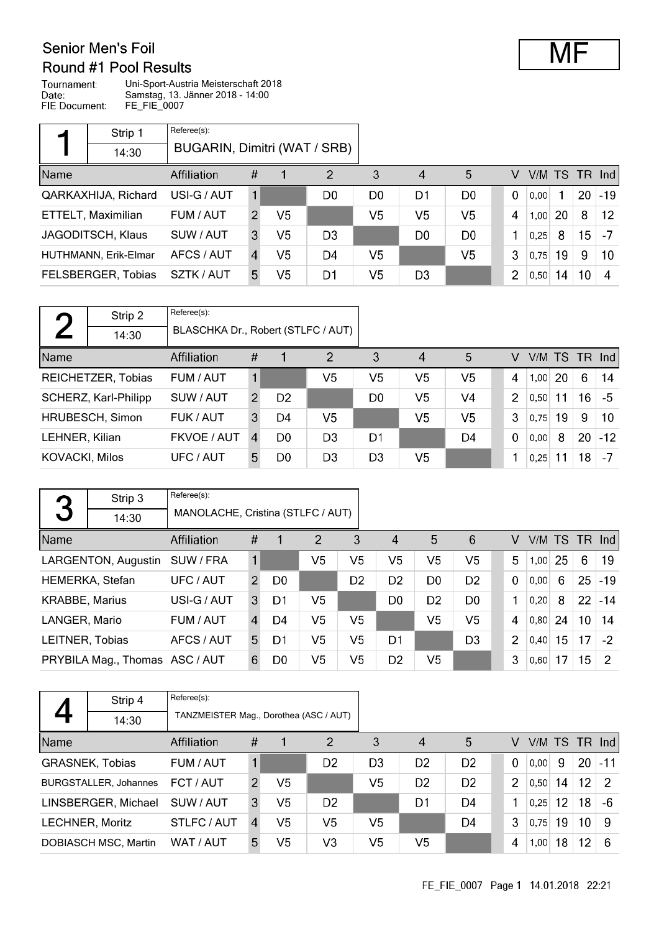#### Senior Men's Foil Round #1 Pool Results

| Tournament:   | Uni-Sport-Austria Meisterschaft 2018 |
|---------------|--------------------------------------|
| Date:         | Samstag, 13. Jänner 2018 - 14:00     |
| FIE Document: | FE FIE 0007                          |

|      | Strip 1                  | Referee(s):                  |    |                |                |                |                        |                |             |           |    |                 |                   |
|------|--------------------------|------------------------------|----|----------------|----------------|----------------|------------------------|----------------|-------------|-----------|----|-----------------|-------------------|
|      | 14:30                    | BUGARIN, Dimitri (WAT / SRB) |    |                |                |                |                        |                |             |           |    |                 |                   |
| Name |                          | Affiliation                  | #  |                | 2              | 3              | $\boldsymbol{\Lambda}$ | 5              | V           | V/M TS TR |    |                 | <b>Ind</b>        |
|      | QARKAXHIJA, Richard      | USI-G / AUT                  | 1  |                | D <sub>0</sub> | D <sub>0</sub> | D1                     | D <sub>0</sub> | $\mathbf 0$ | 0.00      |    | 20              | $-19$             |
|      | ETTELT, Maximilian       | FUM / AUT                    | 2  | V <sub>5</sub> |                | V <sub>5</sub> | V <sub>5</sub>         | V <sub>5</sub> | 4           | 1,00      | 20 | 8               | $12 \overline{ }$ |
|      | <b>JAGODITSCH, Klaus</b> | SUW / AUT                    | 3  | V <sub>5</sub> | D <sub>3</sub> |                | D <sub>0</sub>         | D <sub>0</sub> |             | 0,25      | 8  | 15 <sub>1</sub> | $-7$              |
|      | HUTHMANN, Erik-Elmar     | AFCS / AUT                   | 4  | V <sub>5</sub> | D4             | V5             |                        | V <sub>5</sub> | 3           | 0,75      | 19 | 9               | 10                |
|      | FELSBERGER, Tobias       | SZTK / AUT                   | 5. | V <sub>5</sub> | D1             | V5             | D <sub>3</sub>         |                | 2           | 0,50      | 14 | 10              | -4                |

| $\blacksquare$        | Strip 2              | Referee(s):                        |                  |                |                |                |                        |                |             |           |    |    |        |
|-----------------------|----------------------|------------------------------------|------------------|----------------|----------------|----------------|------------------------|----------------|-------------|-----------|----|----|--------|
|                       | 14:30                | BLASCHKA Dr., Robert (STLFC / AUT) |                  |                |                |                |                        |                |             |           |    |    |        |
| Name                  |                      | Affiliation                        | #                |                | $\overline{2}$ | 3              | $\boldsymbol{\Lambda}$ | 5              | V           | V/M TS TR |    |    | -Ind l |
|                       | REICHETZER, Tobias   | FUM / AUT                          |                  |                | V5             | V5             | V5                     | V <sub>5</sub> | 4           | 1.00      | 20 | 6  | 14     |
|                       | SCHERZ, Karl-Philipp | SUW / AUT                          | $\mathcal{P}$    | D <sub>2</sub> |                | D <sub>0</sub> | V <sub>5</sub>         | V <sub>4</sub> | 2           | 0.50      | 11 | 16 | -5     |
|                       | HRUBESCH, Simon      | FUK / AUT                          | 3                | D4             | V5             |                | V5                     | V <sub>5</sub> | 3           | 0.75      | 19 | 9  | 10     |
| LEHNER, Kilian        |                      | FKVOE / AUT                        | $\boldsymbol{A}$ | D <sub>0</sub> | D <sub>3</sub> | D <sub>1</sub> |                        | D4             | $\mathbf 0$ | 0.00      | 8  | 20 | $-12$  |
| <b>KOVACKI, Milos</b> |                      | UFC / AUT                          | 5.               | D <sub>0</sub> | D <sub>3</sub> | D3             | V <sub>5</sub>         |                |             | 0,25      | 11 | 18 | $-7$   |

|                       | Strip 3                        | Referee(s):                       |               |                |                |                |                |                |                |                |        |    |                 |          |
|-----------------------|--------------------------------|-----------------------------------|---------------|----------------|----------------|----------------|----------------|----------------|----------------|----------------|--------|----|-----------------|----------|
| 3                     | 14:30                          | MANOLACHE, Cristina (STLFC / AUT) |               |                |                |                |                |                |                |                |        |    |                 |          |
| Name                  |                                | Affiliation                       | #             |                | $\overline{2}$ | 3              | $\overline{4}$ | 5              | 6              | V              | V/M TS |    |                 | $TR$ Ind |
|                       | LARGENTON, Augustin            | SUW / FRA                         |               |                | V5             | V5             | V <sub>5</sub> | V <sub>5</sub> | V <sub>5</sub> | 5              | 1.00   | 25 | 6               | 19       |
|                       | HEMERKA, Stefan                | UFC / AUT                         | $\mathcal{P}$ | D <sub>0</sub> |                | D <sub>2</sub> | D <sub>2</sub> | D <sub>0</sub> | D <sub>2</sub> | $\overline{0}$ | 0.00   | 6  | 25              | $-19$    |
| <b>KRABBE, Marius</b> |                                | USI-G / AUT                       | 3             | D1             | V5             |                | D <sub>0</sub> | D <sub>2</sub> | D <sub>0</sub> | 1              | 0.20   | 8  | 22              | $-14$    |
| LANGER, Mario         |                                | FUM / AUT                         | 4             | D4             | V <sub>5</sub> | V5             |                | V <sub>5</sub> | V <sub>5</sub> | 4              | 0.80   | 24 | 10 <sup>°</sup> | 14       |
| LEITNER, Tobias       |                                | AFCS / AUT                        | 5.            | D1             | V <sub>5</sub> | V <sub>5</sub> | D1             |                | D <sub>3</sub> | $\overline{2}$ | 0.40   | 15 | 17              | $-2$     |
|                       | PRYBILA Mag., Thomas ASC / AUT |                                   | 6             | D <sub>0</sub> | V <sub>5</sub> | V5             | D <sub>2</sub> | V5             |                | 3              | 0,60   | 17 | 15              | 2        |

|      | Strip 4                      | Referee(s):                            |                |                |                |                |                |                |                |      |    |                 |                 |
|------|------------------------------|----------------------------------------|----------------|----------------|----------------|----------------|----------------|----------------|----------------|------|----|-----------------|-----------------|
|      | 14:30                        | TANZMEISTER Mag., Dorothea (ASC / AUT) |                |                |                |                |                |                |                |      |    |                 |                 |
| Name |                              | <b>Affiliation</b>                     | #              |                | $\overline{2}$ | 3              | 4              | 5              | V              |      |    |                 | $V/M$ TS TR Ind |
|      | <b>GRASNEK, Tobias</b>       | FUM / AUT                              |                |                | D <sub>2</sub> | D <sub>3</sub> | D <sub>2</sub> | D <sub>2</sub> | $\mathbf 0$    | 0.00 | 9  |                 | $20$ -11        |
|      | <b>BURGSTALLER, Johannes</b> | FCT / AUT                              | $\mathcal{P}$  | V <sub>5</sub> |                | V <sub>5</sub> | D <sub>2</sub> | D <sub>2</sub> | $\overline{2}$ | 0.50 | 14 | 12 <sup>2</sup> | $\overline{2}$  |
|      | LINSBERGER, Michael          | SUW / AUT                              | 3              | V <sub>5</sub> | D <sub>2</sub> |                | D <sub>1</sub> | D4             | 1              | 0.25 | 12 | 18              | -6              |
|      | <b>LECHNER, Moritz</b>       | STLFC / AUT                            | $\overline{4}$ | V <sub>5</sub> | V <sub>5</sub> | V <sub>5</sub> |                | D4             | 3              | 0,75 | 19 | 10              | 9               |
|      | DOBIASCH MSC, Martin         | WAT / AUT                              | 5              | V5             | V3             | V5             | V <sub>5</sub> |                | 4              | 1,00 | 18 | 12              | 6               |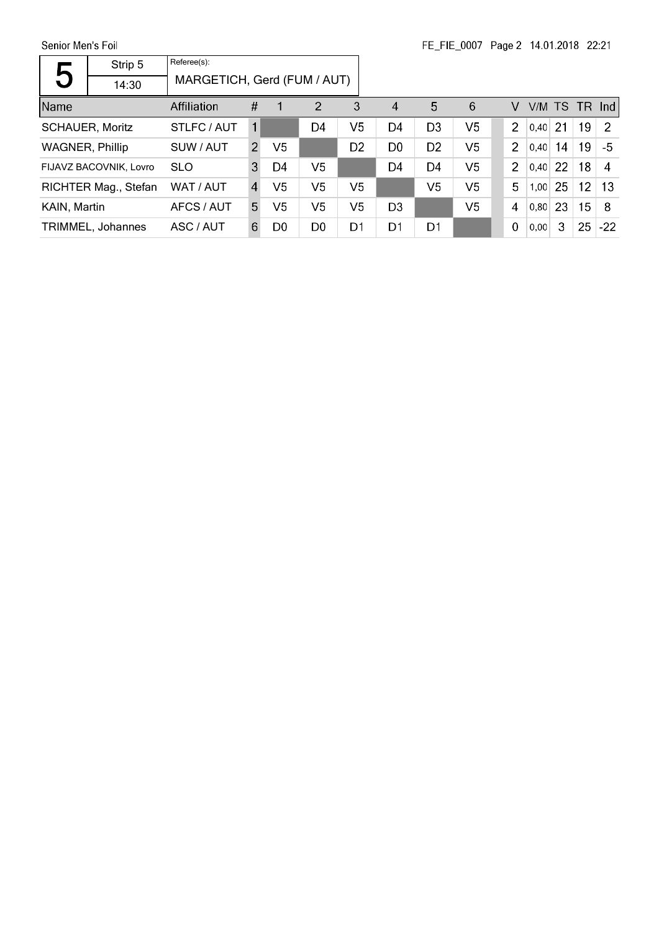Senior Men's Foil

|                        | Strip 5                | Referee(s):                 |                |                |                |                |                  |                |                |                |           |     |                 |               |
|------------------------|------------------------|-----------------------------|----------------|----------------|----------------|----------------|------------------|----------------|----------------|----------------|-----------|-----|-----------------|---------------|
| 5                      | 14:30                  | MARGETICH, Gerd (FUM / AUT) |                |                |                |                |                  |                |                |                |           |     |                 |               |
| Name                   |                        | Affiliation                 | #              | 1              | $\overline{2}$ | 3              | $\boldsymbol{A}$ | 5              | 6              | V              | V/M TS    |     |                 | $TR$ Ind      |
| <b>SCHAUER, Moritz</b> |                        | STLFC / AUT                 | 1              |                | D4             | V5             | D4               | D <sub>3</sub> | V <sub>5</sub> | $\mathcal{P}$  | $0.40$ 21 |     | 19              | $\mathcal{P}$ |
| <b>WAGNER, Phillip</b> |                        | SUW / AUT                   | $\mathcal{P}$  | V5             |                | D <sub>2</sub> | D <sub>0</sub>   | D <sub>2</sub> | V <sub>5</sub> | $\overline{2}$ | 0,40      | 14  | 19              | $-5$          |
|                        | FIJAVZ BACOVNIK, Lovro | <b>SLO</b>                  | 3              | D4             | V <sub>5</sub> |                | D <sub>4</sub>   | D <sub>4</sub> | V5             | $\overline{2}$ | 0.40      | 22  | 18              | 4             |
|                        | RICHTER Mag., Stefan   | WAT / AUT                   | $\overline{4}$ | V <sub>5</sub> | V <sub>5</sub> | V5             |                  | V <sub>5</sub> | V <sub>5</sub> | 5              | 1,00      | 25  | 12 <sub>2</sub> | -13           |
| KAIN, Martin           |                        | AFCS / AUT                  | 5              | V5             | V5             | V5             | D <sub>3</sub>   |                | V <sub>5</sub> | $\overline{4}$ | 0.80      | -23 | 15 <sub>1</sub> | -8            |
|                        | TRIMMEL, Johannes      | ASC / AUT                   | 6              | D0             | D <sub>0</sub> | D1             | D1               | D1             |                | 0              | 0,00      | 3   | 25              | $-22$         |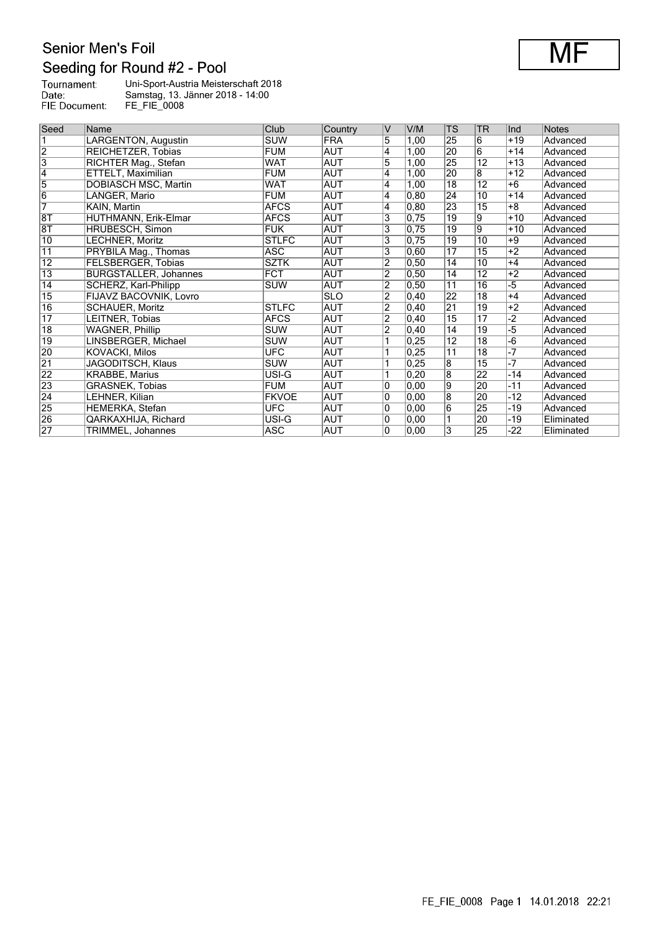## Senior Men's Foil Seeding for Round #2 - Pool

| Tournament:   | Uni-Sport-Austria Meisterschaft 2018 |
|---------------|--------------------------------------|
| Date:         | Samstag, 13. Jänner 2018 - 14:00     |
| FIE Document: | <b>FE FIE 0008</b>                   |

| Seed            | Name                         | Club         | Country    | V              | V/M  | <b>TS</b>               | <b>TR</b>       | Ind   | <b>Notes</b> |
|-----------------|------------------------------|--------------|------------|----------------|------|-------------------------|-----------------|-------|--------------|
|                 | LARGENTON, Augustin          | <b>SUW</b>   | <b>FRA</b> | 5              | 1,00 | 25                      | 6               | $+19$ | Advanced     |
| $\overline{2}$  | REICHETZER, Tobias           | <b>FUM</b>   | AUT        | Ι4             | 1,00 | 20                      | $\overline{6}$  | $+14$ | Advanced     |
| $\overline{3}$  | RICHTER Mag., Stefan         | <b>WAT</b>   | AUT        | 5              | 1,00 | 25                      | 12              | $+13$ | Advanced     |
| $\overline{4}$  | ETTELT, Maximilian           | <b>FUM</b>   | <b>AUT</b> | 4              | 1,00 | 20                      | 8               | $+12$ | Advanced     |
| 5               | <b>DOBIASCH MSC, Martin</b>  | <b>WAT</b>   | AUT        | 4              | 1,00 | 18                      | 12              | $+6$  | Advanced     |
| $\overline{6}$  | LANGER, Mario                | <b>FUM</b>   | AUT        | $\overline{4}$ | 0.80 | 24                      | 10              | $+14$ | Advanced     |
| 7               | KAIN, Martin                 | <b>AFCS</b>  | AUT        | 4              | 0.80 | 23                      | $\overline{15}$ | $+8$  | Advanced     |
| $\overline{8T}$ | HUTHMANN, Erik-Elmar         | <b>AFCS</b>  | AUT        | 3              | 0.75 | $\overline{19}$         | Ι9              | $+10$ | Advanced     |
| 8T              | HRUBESCH, Simon              | <b>FUK</b>   | <b>AUT</b> | 3              | 0.75 | $\overline{19}$         | 9               | $+10$ | Advanced     |
| $\overline{10}$ | <b>LECHNER, Moritz</b>       | <b>STLFC</b> | AUT        | 3              | 0,75 | $\overline{19}$         | 10              | $+9$  | Advanced     |
| $\overline{11}$ | PRYBILA Mag., Thomas         | <b>ASC</b>   | <b>AUT</b> | 3              | 0.60 | 17                      | 15              | $+2$  | Advanced     |
| 12              | FELSBERGER, Tobias           | <b>SZTK</b>  | <b>AUT</b> | $\overline{2}$ | 0,50 | 14                      | 10              | $+4$  | Advanced     |
| $\overline{13}$ | <b>BURGSTALLER, Johannes</b> | <b>FCT</b>   | <b>AUT</b> | $\overline{2}$ | 0,50 | 14                      | $\overline{12}$ | $+2$  | Advanced     |
| $\overline{14}$ | SCHERZ, Karl-Philipp         | <b>SUW</b>   | <b>AUT</b> | $\overline{2}$ | 0.50 | 11                      | 16              | $-5$  | Advanced     |
| $\overline{15}$ | FIJAVZ BACOVNIK, Lovro       |              | <b>SLO</b> | $\overline{2}$ | 0,40 | 22                      | 18              | $+4$  | Advanced     |
| $\overline{16}$ | <b>SCHAUER, Moritz</b>       | <b>STLFC</b> | AUT        | $\overline{2}$ | 0,40 | $\overline{21}$         | 19              | $+2$  | Advanced     |
| $\overline{17}$ | LEITNER, Tobias              | <b>AFCS</b>  | <b>AUT</b> | $\overline{2}$ | 0,40 | 15                      | 17              | $-2$  | Advanced     |
| $\overline{18}$ | <b>WAGNER, Phillip</b>       | <b>SUW</b>   | <b>AUT</b> | 2              | 0,40 | 14                      | 19              | -5    | Advanced     |
| $\overline{19}$ | LINSBERGER, Michael          | <b>SUW</b>   | AUT        | 1              | 0,25 | $\overline{12}$         | $\overline{18}$ | $-6$  | Advanced     |
| 20              | <b>KOVACKI, Milos</b>        | <b>UFC</b>   | AUT        | 1              | 0,25 | $\overline{11}$         | $\overline{18}$ | $-7$  | Advanced     |
| $\overline{21}$ | JAGODITSCH, Klaus            | <b>SUW</b>   | AUT        |                | 0,25 | $\overline{8}$          | 15              | $-7$  | Advanced     |
| $\overline{22}$ | <b>KRABBE, Marius</b>        | USI-G        | AUT        | 1              | 0,20 | $\overline{\mathbf{8}}$ | 22              | $-14$ | Advanced     |
| 23              | <b>GRASNEK, Tobias</b>       | <b>FUM</b>   | AUT        | 0              | 0,00 | 9                       | 20              | $-11$ | Advanced     |
| $\overline{24}$ | LEHNER, Kilian               | <b>FKVOE</b> | <b>AUT</b> | 0              | 0,00 | 8                       | 20              | $-12$ | Advanced     |
| $\overline{25}$ | HEMERKA, Stefan              | <b>UFC</b>   | AUT        | 0              | 0,00 | $\overline{6}$          | 25              | $-19$ | Advanced     |
| 26              | QARKAXHIJA, Richard          | USI-G        | AUT        | 0              | 0,00 |                         | 20              | $-19$ | Eliminated   |
| 27              | TRIMMEL, Johannes            | <b>ASC</b>   | AUT        | $\mathbf{0}$   | 0,00 | 3                       | 25              | -22   | Eliminated   |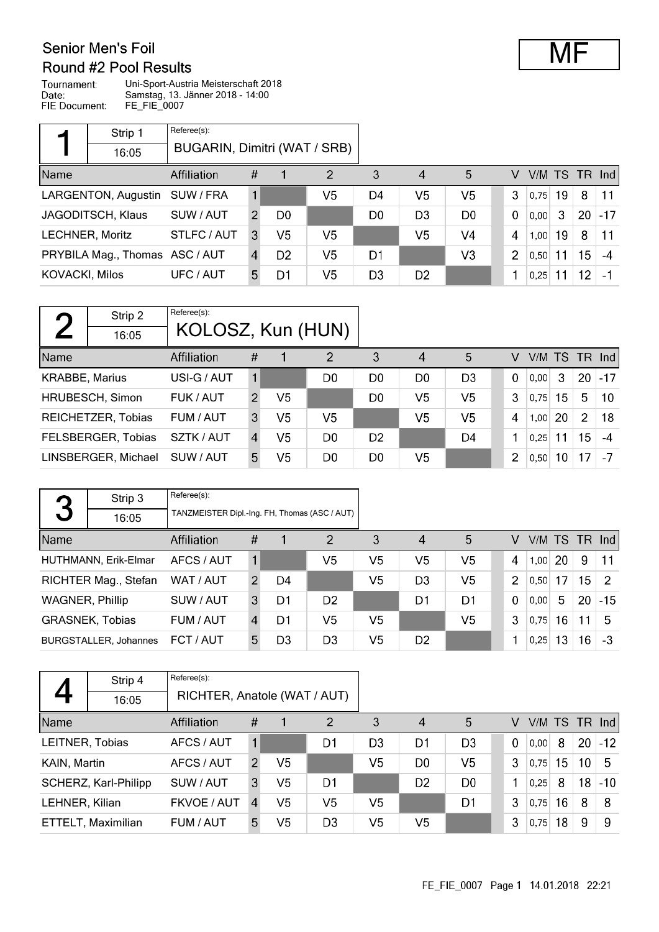#### Senior Men's Foil Round #2 Pool Results

Tournament: Uni-Sport-Austria Meisterschaft 2018 Date: Samstag, 13. Jänner 2018 - 14:00 FIE Document: FE\_FIE\_0007

|                       | Strip 1                        | Referee(s):                  |   |                |                |                |                |                |               |      |    |    |                |
|-----------------------|--------------------------------|------------------------------|---|----------------|----------------|----------------|----------------|----------------|---------------|------|----|----|----------------|
|                       | 16:05                          | BUGARIN, Dimitri (WAT / SRB) |   |                |                |                |                |                |               |      |    |    |                |
| Name                  |                                | <b>Affiliation</b>           | # |                | $\overline{2}$ | 3              | 4              | 5              | V             |      |    |    | $VM$ TS TR Ind |
|                       | LARGENTON, Augustin            | SUW / FRA                    | 1 |                | V <sub>5</sub> | D4             | V <sub>5</sub> | V <sub>5</sub> | 3             | 0.75 | 19 | 8  | 11             |
|                       | <b>JAGODITSCH, Klaus</b>       | SUW / AUT                    | 2 | D <sub>0</sub> |                | D <sub>0</sub> | D <sub>3</sub> | D <sub>0</sub> | $\Omega$      | 0,00 | 3  | 20 | $-17$          |
|                       | <b>LECHNER, Moritz</b>         | STLFC / AUT                  | 3 | V <sub>5</sub> | V5             |                | V5             | V4             | 4             | 1,00 | 19 | 8  | 11             |
|                       | PRYBILA Mag., Thomas ASC / AUT |                              | 4 | D <sub>2</sub> | V5             | D1             |                | V3             | $\mathcal{P}$ | 0,50 | 11 | 15 | $-4$           |
| <b>KOVACKI, Milos</b> |                                | UFC / AUT                    | 5 | D1             | V <sub>5</sub> | D <sub>3</sub> | D <sub>2</sub> |                |               | 0.25 | 11 | 12 | $-1$           |

| $\Gamma$              | Strip 2            | Referee(s):       |               |                |                |                |                        |                |             |           |    |               |                 |
|-----------------------|--------------------|-------------------|---------------|----------------|----------------|----------------|------------------------|----------------|-------------|-----------|----|---------------|-----------------|
|                       | 16:05              | KOLOSZ, Kun (HUN) |               |                |                |                |                        |                |             |           |    |               |                 |
| Name                  |                    | Affiliation       | #             |                | $\overline{2}$ | 3              | $\boldsymbol{\Lambda}$ | 5              | V           | V/M TS TR |    |               | nd              |
| <b>KRABBE, Marius</b> |                    | USI-G / AUT       | 1             |                | D0             | D <sub>0</sub> | D <sub>0</sub>         | D <sub>3</sub> | $\mathbf 0$ | 0.00      | 3  | <b>20</b>     | $-17$           |
|                       | HRUBESCH, Simon    | FUK / AUT         | $\mathcal{P}$ | V5             |                | D <sub>0</sub> | V <sub>5</sub>         | V5             | 3           | 0.75      | 15 | 5             | 10 <sup>°</sup> |
|                       | REICHETZER, Tobias | FUM / AUT         | 3             | V <sub>5</sub> | V5             |                | V <sub>5</sub>         | V5             | 4           | 1,00      | 20 | $\mathcal{P}$ | 18              |
|                       | FELSBERGER, Tobias | SZTK / AUT        | 4             | V5             | D <sub>0</sub> | D <sub>2</sub> |                        | D4             |             | 0.25      | 11 | 15            | $-4$            |
| LINSBERGER, Michael   |                    | SUW / AUT         | 5.            | V5             | D <sub>0</sub> | D <sub>0</sub> | V5                     |                | 2           | 0,50      | 10 | 17            | $-7$            |

|                        | Strip 3                      | Referee(s):                                   |                |    |                |                |                |                |                |      |           |                 |               |
|------------------------|------------------------------|-----------------------------------------------|----------------|----|----------------|----------------|----------------|----------------|----------------|------|-----------|-----------------|---------------|
| 3                      | 16:05                        | TANZMEISTER Dipl.-Ing. FH, Thomas (ASC / AUT) |                |    |                |                |                |                |                |      |           |                 |               |
| Name                   |                              | Affiliation                                   | #              |    | 2              | 3              | 4              | 5              | V              |      |           | $V/M$ TS TR Ind |               |
|                        | HUTHMANN, Erik-Elmar         | AFCS / AUT                                    |                |    | V5             | V <sub>5</sub> | V <sub>5</sub> | V <sub>5</sub> | $\overline{4}$ |      | $1,00$ 20 | 9               | 11            |
|                        | RICHTER Mag., Stefan         | WAT / AUT                                     | 2              | D4 |                | V <sub>5</sub> | D <sub>3</sub> | V <sub>5</sub> | $\overline{2}$ | 0.50 | 17        | 15 <sub>1</sub> | $\mathcal{P}$ |
| <b>WAGNER, Phillip</b> |                              | SUW / AUT                                     | 3              | D1 | D <sub>2</sub> |                | D1             | D1             | $\Omega$       | 0.00 | 5         | 20              | $-15$         |
|                        | <b>GRASNEK, Tobias</b>       | FUM / AUT                                     | $\overline{4}$ | D1 | V5             | V5             |                | V <sub>5</sub> | 3              | 0.75 | 16        | 11              | -5            |
|                        | <b>BURGSTALLER, Johannes</b> | FCT / AUT                                     | 5.             | D3 | D3             | V5             | D <sub>2</sub> |                |                | 0,25 | 13        | 16 <sup>°</sup> | -3            |

|                    | Strip 4              | Referee(s):                  |               |                |                |                |                |                |             |      |                 |                 |                 |
|--------------------|----------------------|------------------------------|---------------|----------------|----------------|----------------|----------------|----------------|-------------|------|-----------------|-----------------|-----------------|
|                    | 16:05                | RICHTER, Anatole (WAT / AUT) |               |                |                |                |                |                |             |      |                 |                 |                 |
| Name               |                      | Affiliation                  | #             |                | 2              | 3              | $\overline{4}$ | 5              | V           |      |                 |                 | $V/M$ TS TR Ind |
| LEITNER, Tobias    |                      | AFCS / AUT                   |               |                | D1             | D <sub>3</sub> | D <sub>1</sub> | D <sub>3</sub> | $\mathbf 0$ | 0.00 | 8               | 20              | $-12$           |
| KAIN, Martin       |                      | AFCS / AUT                   | $\mathcal{P}$ | V5             |                | V5             | D <sub>0</sub> | V5             | 3           | 0.75 | 15              | 10 <sup>°</sup> | 5               |
|                    | SCHERZ, Karl-Philipp | SUW / AUT                    | 3             | V <sub>5</sub> | D1             |                | D <sub>2</sub> | D <sub>0</sub> |             | 0.25 | 8               | 18 <sup>°</sup> | $-10$           |
| LEHNER, Kilian     |                      | FKVOE / AUT                  | 4             | V <sub>5</sub> | V <sub>5</sub> | V <sub>5</sub> |                | D <sub>1</sub> | 3           | 0.75 | 16 <sup>°</sup> | 8               | 8               |
| ETTELT, Maximilian |                      | FUM / AUT                    | 5.            | V5             | D <sub>3</sub> | V5             | V <sub>5</sub> |                | 3           | 0,75 | 18              | 9               | 9               |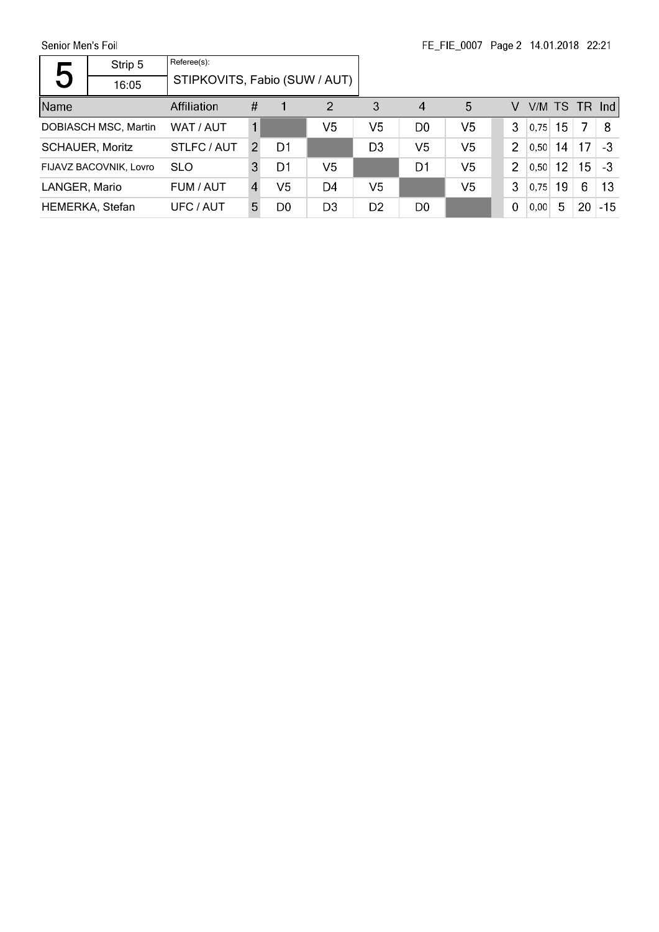Senior Men's Foil

| 5               | Strip 5                     | Referee(s):                   |   |    |                |                |                |                |                |      |                 |                 |               |
|-----------------|-----------------------------|-------------------------------|---|----|----------------|----------------|----------------|----------------|----------------|------|-----------------|-----------------|---------------|
|                 | 16:05                       | STIPKOVITS, Fabio (SUW / AUT) |   |    |                |                |                |                |                |      |                 |                 |               |
| Name            |                             | Affiliation                   | # |    | 2              | 3              | 4              | 5              | V              |      |                 |                 | V/M TS TR Ind |
|                 | <b>DOBIASCH MSC, Martin</b> | WAT / AUT                     |   |    | V5             | V5             | D <sub>0</sub> | V <sub>5</sub> | 3              | 0,75 | 15              | 7               | 8             |
|                 | <b>SCHAUER, Moritz</b>      | STLFC / AUT                   | 2 | D1 |                | D <sub>3</sub> | V <sub>5</sub> | V5             | $\overline{2}$ | 0.50 | 14              | 17              | $-3$          |
|                 | FIJAVZ BACOVNIK, Lovro      | <b>SLO</b>                    | 3 | D1 | V <sub>5</sub> |                | D1             | V <sub>5</sub> | $\overline{2}$ | 0.50 | 12 <sup>2</sup> | 15 <sup>1</sup> | -3            |
| LANGER, Mario   |                             | FUM / AUT                     | 4 | V5 | D4             | V <sub>5</sub> |                | V5             | 3              | 0.75 | 19              | 6               | 13            |
| HEMERKA, Stefan |                             | UFC / AUT                     | 5 | D0 | D <sub>3</sub> | D <sub>2</sub> | D <sub>0</sub> |                | 0              | 0.00 | 5               | 20              | $-15$         |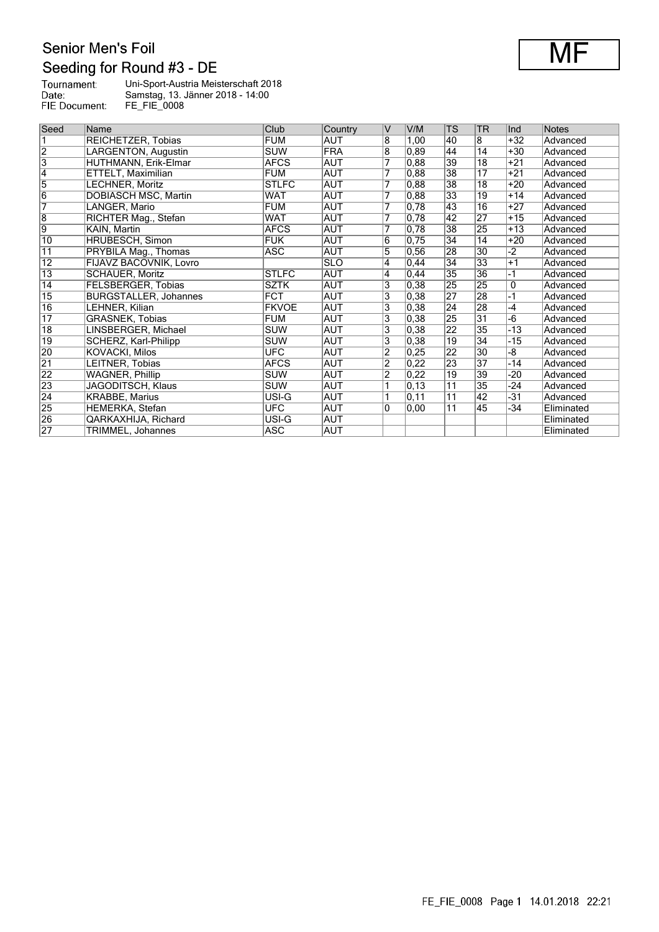# Senior Men's Foil Seeding for Round #3 - DE

| Tournament:   | Uni-Sport-Austria Meisterschaft 2018 |
|---------------|--------------------------------------|
| Date:         | Samstag, 13. Jänner 2018 - 14:00     |
| FIE Document: | FE FIE 0008                          |

| Seed            | Name                         | Club         | Country    | V              | V/M   | <b>TS</b>       | TR              | Ind   | <b>Notes</b> |
|-----------------|------------------------------|--------------|------------|----------------|-------|-----------------|-----------------|-------|--------------|
|                 | REICHETZER, Tobias           | <b>FUM</b>   | AUT        | 8              | 1,00  | 40              | 8               | $+32$ | Advanced     |
| $\overline{2}$  | <b>LARGENTON, Augustin</b>   | <b>SUW</b>   | <b>FRA</b> | $\overline{8}$ | 0.89  | 44              | 14              | $+30$ | Advanced     |
| $\overline{3}$  | HUTHMANN, Erik-Elmar         | <b>AFCS</b>  | <b>AUT</b> |                | 0,88  | 39              | $\overline{18}$ | $+21$ | Advanced     |
| $\overline{4}$  | ETTELT, Maximilian           | <b>FUM</b>   | <b>AUT</b> | 7              | 0,88  | 38              | 17              | $+21$ | Advanced     |
| 5               | LECHNER, Moritz              | <b>STLFC</b> | AUT        | 7              | 0.88  | 38              | 18              | $+20$ | Advanced     |
| $\overline{6}$  | DOBIASCH MSC, Martin         | WAT          | AUT        | 7              | 0,88  | 33              | 19              | $+14$ | Advanced     |
| $\overline{7}$  | LANGER, Mario                | <b>FUM</b>   | AUT        | 7              | 0,78  | 43              | $\overline{16}$ | $+27$ | Advanced     |
| 8               | RICHTER Mag., Stefan         | WAT          | <b>AUT</b> |                | 0,78  | 42              | 27              | $+15$ | Advanced     |
| $\overline{9}$  | KAIN, Martin                 | <b>AFCS</b>  | AUT        |                | 0,78  | 38              | 25              | $+13$ | Advanced     |
| $\overline{10}$ | <b>HRUBESCH, Simon</b>       | <b>FUK</b>   | AUT        | 6              | 0,75  | $\overline{34}$ | 14              | $+20$ | Advanced     |
| $\overline{11}$ | PRYBILA Mag., Thomas         | ASC          | AUT        | 5              | 0,56  | 28              | 30              | $-2$  | Advanced     |
| $\overline{12}$ | FIJAVZ BACOVNIK, Lovro       |              | <b>SLO</b> | 4              | 0,44  | 34              | 33              | $+1$  | Advanced     |
| $\overline{13}$ | <b>SCHAUER, Moritz</b>       | <b>STLFC</b> | AUT        | 4              | 0,44  | $\overline{35}$ | 36              | $-1$  | Advanced     |
| $\overline{14}$ | FELSBERGER, Tobias           | <b>SZTK</b>  | AUT        | 3              | 0,38  | 25              | 25              | 0     | Advanced     |
| $\overline{15}$ | <b>BURGSTALLER, Johannes</b> | <b>FCT</b>   | AUT        | 3              | 0,38  | 27              | 28              | -1    | Advanced     |
| $\overline{16}$ | LEHNER, Kilian               | <b>FKVOE</b> | AUT        | 3              | 0,38  | 24              | 28              | $-4$  | Advanced     |
| $\overline{17}$ | GRASNEK, Tobias              | <b>FUM</b>   | AUT        | 3              | 0,38  | 25              | $\overline{31}$ | $-6$  | Advanced     |
| $\overline{18}$ | LINSBERGER, Michael          | <b>SUW</b>   | AUT        | 3              | 0.38  | $\overline{22}$ | 35              | -13   | Advanced     |
| $\overline{19}$ | SCHERZ, Karl-Philipp         | <b>SUW</b>   | AUT        | 3              | 0,38  | 19              | $\overline{34}$ | $-15$ | Advanced     |
| 20              | <b>KOVACKI, Milos</b>        | <b>UFC</b>   | AUT        | $\overline{2}$ | 0,25  | $\overline{22}$ | 30              | $-8$  | Advanced     |
| $\overline{21}$ | LEITNER, Tobias              | <b>AFCS</b>  | AUT        | $\overline{2}$ | 0,22  | 23              | 37              | -14   | Advanced     |
| $\overline{22}$ | <b>WAGNER, Phillip</b>       | <b>SUW</b>   | AUT        | $\overline{2}$ | 0,22  | $\overline{19}$ | 39              | -20   | Advanced     |
| $\overline{23}$ | JAGODITSCH, Klaus            | <b>SUW</b>   | AUT        |                | 0, 13 | 11              | $\overline{35}$ | $-24$ | Advanced     |
| $\overline{24}$ | <b>KRABBE, Marius</b>        | USI-G        | AUT        |                | 0,11  | 11              | $\overline{42}$ | -31   | Advanced     |
| $\overline{25}$ | <b>HEMERKA, Stefan</b>       | <b>UFC</b>   | AUT        | $\mathbf{0}$   | 0,00  | $\overline{11}$ | 45              | $-34$ | Eliminated   |
| 26              | QARKAXHIJA, Richard          | USI-G        | AUT        |                |       |                 |                 |       | Eliminated   |
| 27              | TRIMMEL, Johannes            | ASC          | AUT        |                |       |                 |                 |       | Eliminated   |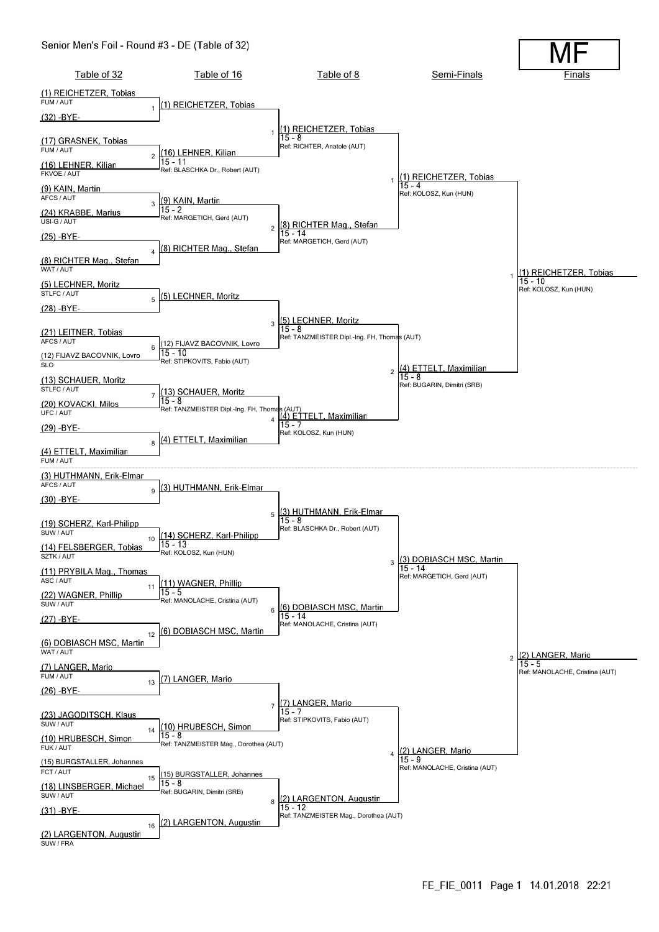#### Senior Men's Foil - Round #3 - DE (Table of 32)

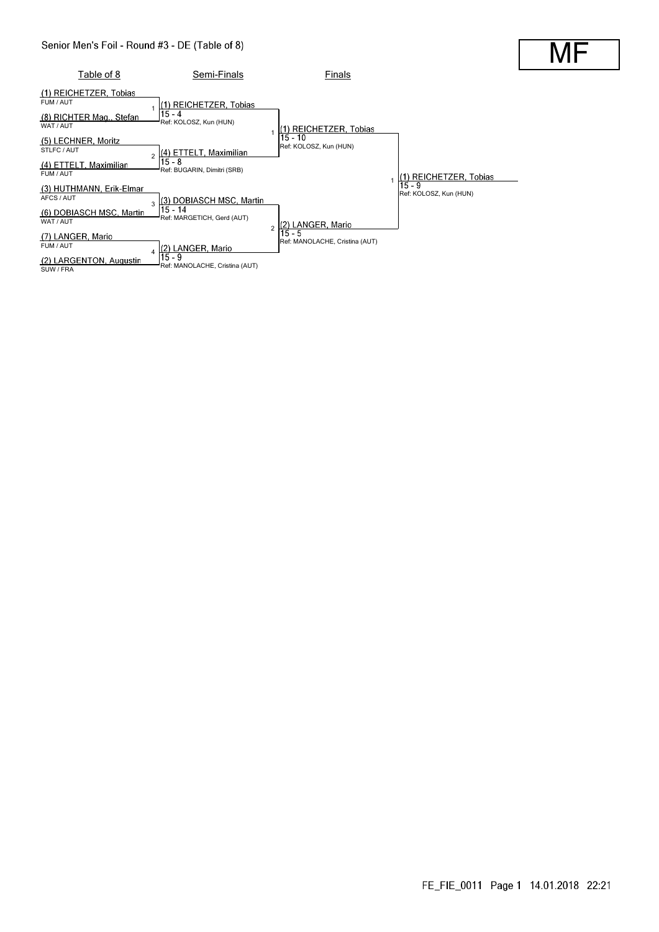

MI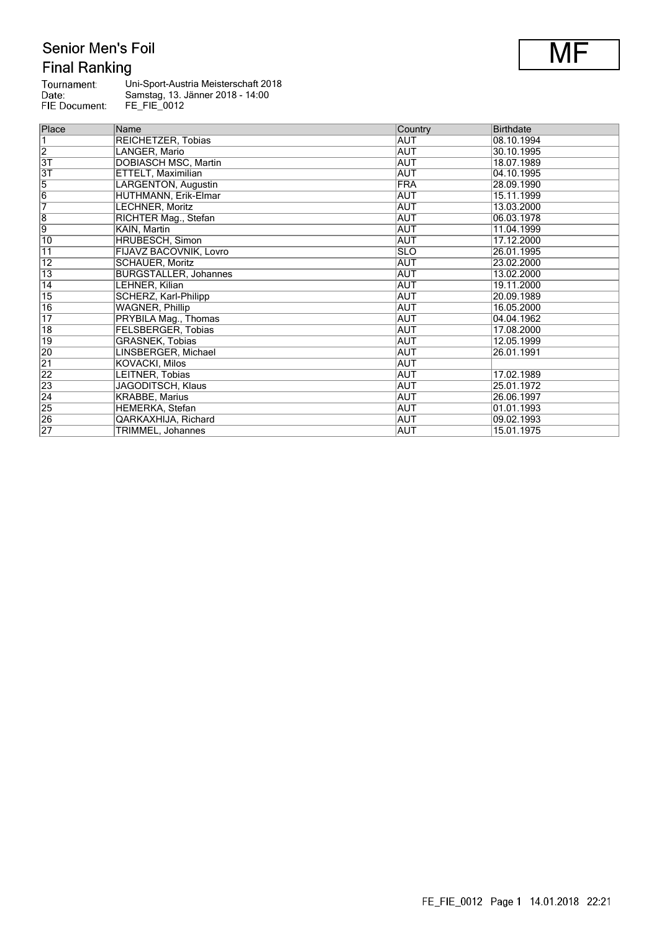# Senior Men's Foil **Final Ranking**

| Tournament:   | Uni-Sport-Austria Meisterschaft 2018 |
|---------------|--------------------------------------|
| Date:         | Samstag, 13. Jänner 2018 - 14:00     |
| FIE Document: | FE FIE 0012                          |

| Place           | Name                         | Country    | <b>Birthdate</b> |
|-----------------|------------------------------|------------|------------------|
| $\overline{1}$  | REICHETZER, Tobias           | <b>AUT</b> | 08.10.1994       |
| $\overline{2}$  | LANGER, Mario                | AUT        | 30.10.1995       |
| 3T              | <b>DOBIASCH MSC, Martin</b>  | AUT        | 18.07.1989       |
| $\overline{3T}$ | ETTELT, Maximilian           | <b>AUT</b> | 04.10.1995       |
| $\overline{5}$  | LARGENTON, Augustin          | <b>FRA</b> | 28.09.1990       |
| $\overline{6}$  | HUTHMANN, Erik-Elmar         | AUT        | 15.11.1999       |
| 7               | LECHNER, Moritz              | AUT        | 13.03.2000       |
| $\overline{8}$  | RICHTER Mag., Stefan         | <b>AUT</b> | 06.03.1978       |
| 9               | KAIN, Martin                 | AUT        | 11.04.1999       |
| 10              | <b>HRUBESCH, Simon</b>       | <b>AUT</b> | 17.12.2000       |
| $\overline{11}$ | FIJAVZ BACOVNIK, Lovro       | <b>SLO</b> | 26.01.1995       |
| $\overline{12}$ | <b>SCHAUER, Moritz</b>       | <b>AUT</b> | 23.02.2000       |
| $\overline{13}$ | <b>BURGSTALLER, Johannes</b> | <b>AUT</b> | 13.02.2000       |
| $\overline{14}$ | LEHNER, Kilian               | <b>AUT</b> | 19.11.2000       |
| $\overline{15}$ | SCHERZ, Karl-Philipp         | AUT        | 20.09.1989       |
| $ 16\rangle$    | <b>WAGNER, Phillip</b>       | AUT        | 16.05.2000       |
| $\overline{17}$ | PRYBILA Mag., Thomas         | <b>AUT</b> | 04.04.1962       |
| 18              | FELSBERGER, Tobias           | AUT        | 17.08.2000       |
| $ 19\rangle$    | <b>GRASNEK, Tobias</b>       | AUT        | 12.05.1999       |
| $\overline{20}$ | LINSBERGER, Michael          | <b>AUT</b> | 26.01.1991       |
| $\overline{21}$ | <b>KOVACKI, Milos</b>        | AUT        |                  |
| $\overline{22}$ | LEITNER, Tobias              | AUT        | 17.02.1989       |
| 23              | JAGODITSCH, Klaus            | <b>AUT</b> | 25.01.1972       |
| $\overline{24}$ | <b>KRABBE, Marius</b>        | AUT        | 26.06.1997       |
| 25              | <b>HEMERKA, Stefan</b>       | <b>AUT</b> | 01.01.1993       |
| $\overline{26}$ | QARKAXHIJA, Richard          | <b>AUT</b> | 09.02.1993       |
| $\overline{27}$ | <b>TRIMMEL, Johannes</b>     | AUT        | 15.01.1975       |